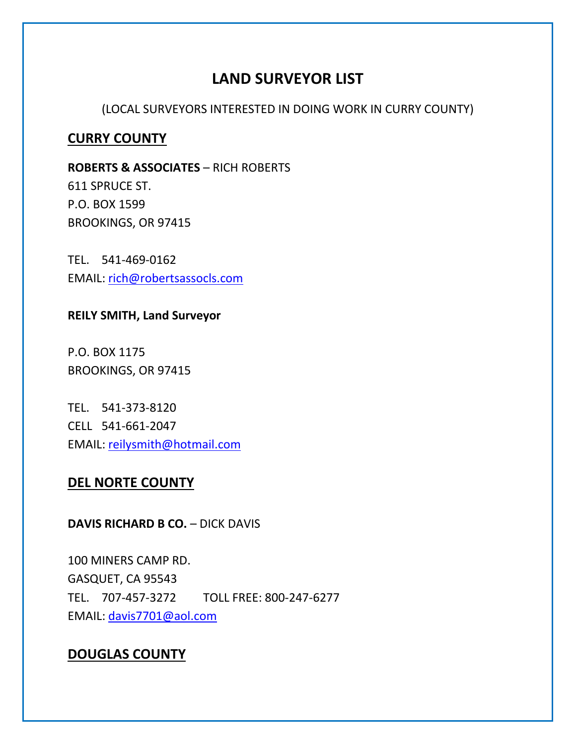# **LAND SURVEYOR LIST**

(LOCAL SURVEYORS INTERESTED IN DOING WORK IN CURRY COUNTY)

# **CURRY COUNTY**

**ROBERTS & ASSOCIATES** – RICH ROBERTS 611 SPRUCE ST. P.O. BOX 1599 BROOKINGS, OR 97415

TEL. 541-469-0162 EMAIL: [rich@robertsassocls.com](mailto:rich@robertsassocls.com)

**REILY SMITH, Land Surveyor**

P.O. BOX 1175 BROOKINGS, OR 97415

TEL. 541-373-8120 CELL 541-661-2047 EMAIL: [reilysmith@hotmail.com](mailto:reilysmith@hotmail.com)

## **DEL NORTE COUNTY**

# **DAVIS RICHARD B CO.** – DICK DAVIS

100 MINERS CAMP RD. GASQUET, CA 95543 TEL. 707-457-3272 TOLL FREE: 800-247-6277 EMAIL: [davis7701@aol.com](mailto:davis7701@aol.com)

# **DOUGLAS COUNTY**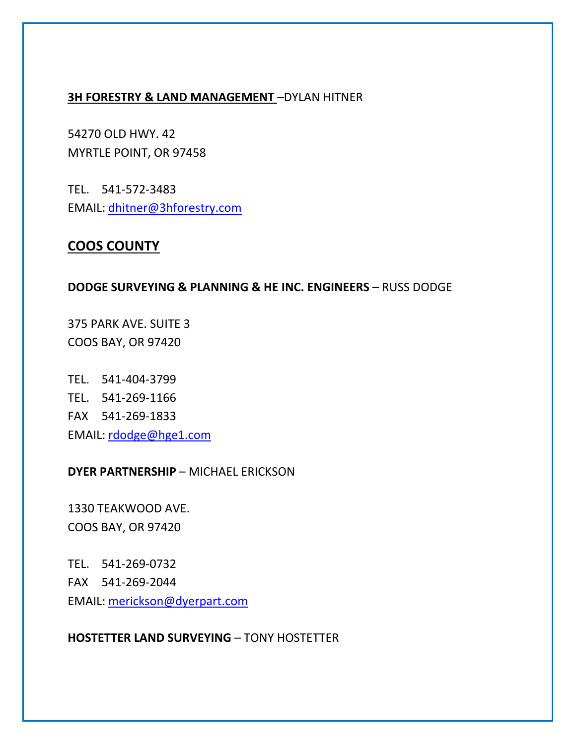#### **3H FORESTRY & LAND MANAGEMENT** –DYLAN HITNER

54270 OLD HWY. 42 MYRTLE POINT, OR 97458

TEL. 541-572-3483 EMAIL: [dhitner@3hforestry.com](mailto:dhitner@3hforestry.com)

# **COOS COUNTY**

#### **DODGE SURVEYING & PLANNING & HE INC. ENGINEERS - RUSS DODGE**

375 PARK AVE. SUITE 3 COOS BAY, OR 97420

TEL. 541-404-3799 TEL. 541-269-1166 FAX 541-269-1833 EMAIL: [rdodge@hge1.com](mailto:rdodge@hge1.com)

### **DYER PARTNERSHIP** – MICHAEL ERICKSON

1330 TEAKWOOD AVE. COOS BAY, OR 97420

TEL. 541-269-0732 FAX 541-269-2044 EMAIL: [merickson@dyerpart.com](mailto:merickson@dyerpart.com)

### **HOSTETTER LAND SURVEYING** – TONY HOSTETTER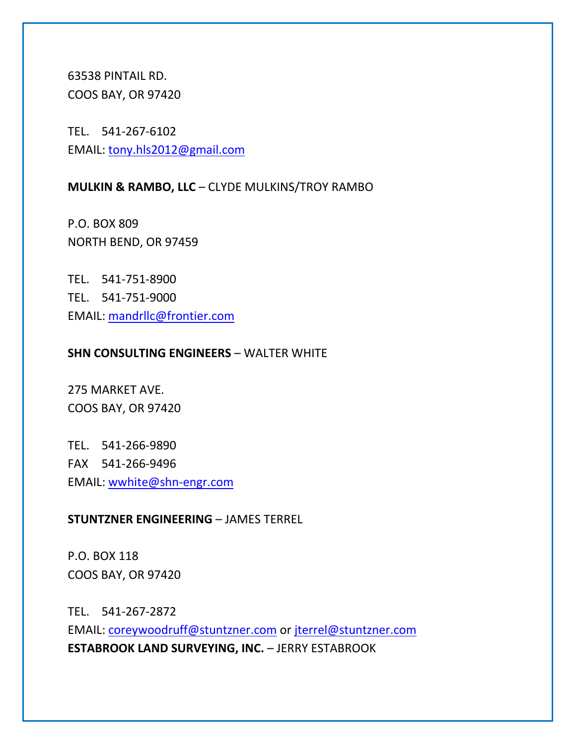63538 PINTAIL RD. COOS BAY, OR 97420

TEL. 541-267-6102 EMAIL: [tony.hls2012@gmail.com](mailto:tony.hls2012@gmail.com)

### **MULKIN & RAMBO, LLC** – CLYDE MULKINS/TROY RAMBO

P.O. BOX 809 NORTH BEND, OR 97459

TEL. 541-751-8900 TEL. 541-751-9000 EMAIL: [mandrllc@frontier.com](mailto:mandrllc@frontier.com)

#### **SHN CONSULTING ENGINEERS - WALTER WHITE**

275 MARKET AVE. COOS BAY, OR 97420

TEL. 541-266-9890 FAX 541-266-9496 EMAIL: [wwhite@shn-engr.com](mailto:wwhite@shn-engr.com)

### **STUNTZNER ENGINEERING** – JAMES TERREL

P.O. BOX 118 COOS BAY, OR 97420

TEL. 541-267-2872 EMAIL: [coreywoodruff@stuntzner.com](mailto:coreywoodruff@stuntzner.com) or [jterrel@stuntzner.com](mailto:jterrel@stuntzner.com) **ESTABROOK LAND SURVEYING, INC. - JERRY ESTABROOK**